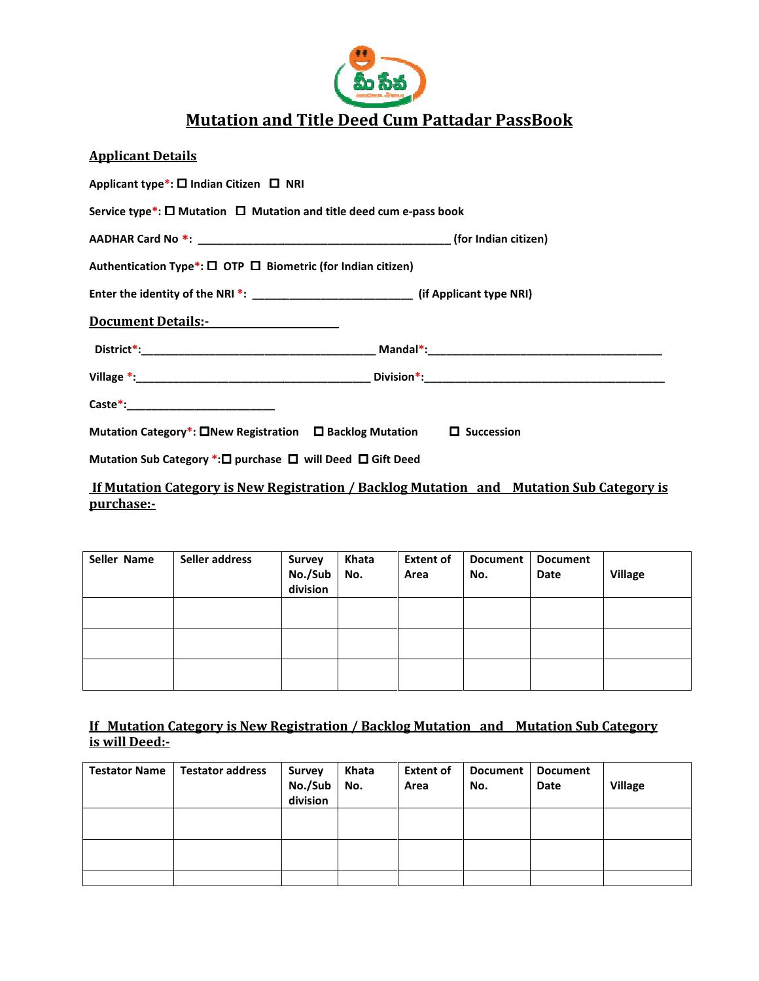

# <u>Mutation and Title Deed Cum Pattadar PassBook</u>

| <b>Applicant Details</b>     |                                                                                                                                                                                                                                |                   |              |                          |                        |                         |                |
|------------------------------|--------------------------------------------------------------------------------------------------------------------------------------------------------------------------------------------------------------------------------|-------------------|--------------|--------------------------|------------------------|-------------------------|----------------|
|                              | Applicant type*: $\square$ Indian Citizen $\square$ NRI                                                                                                                                                                        |                   |              |                          |                        |                         |                |
|                              | Service type*: $\square$ Mutation $\square$ Mutation and title deed cum e-pass book                                                                                                                                            |                   |              |                          |                        |                         |                |
|                              |                                                                                                                                                                                                                                |                   |              |                          |                        |                         |                |
|                              | Authentication Type*: $\square$ OTP $\square$ Biometric (for Indian citizen)                                                                                                                                                   |                   |              |                          |                        |                         |                |
|                              | Enter the identity of the NRI *: ____________________________(if Applicant type NRI)                                                                                                                                           |                   |              |                          |                        |                         |                |
|                              | Document Details:- North Contract Contract Contract Contract Contract Contract Contract Contract Contract Contract Contract Contract Contract Contract Contract Contract Contract Contract Contract Contract Contract Contract |                   |              |                          |                        |                         |                |
|                              |                                                                                                                                                                                                                                |                   |              |                          |                        |                         |                |
|                              |                                                                                                                                                                                                                                |                   |              |                          |                        |                         |                |
|                              |                                                                                                                                                                                                                                |                   |              |                          |                        |                         |                |
|                              | Mutation Category*: $\square$ New Registration $\square$ Backlog Mutation $\square$ Succession                                                                                                                                 |                   |              |                          |                        |                         |                |
|                              | Mutation Sub Category *: □ purchase □ will Deed □ Gift Deed                                                                                                                                                                    |                   |              |                          |                        |                         |                |
| <u>purchase:-</u>            | <u>If Mutation Category is New Registration / Backlog Mutation and Mutation Sub Category is</u>                                                                                                                                |                   |              |                          |                        |                         |                |
|                              |                                                                                                                                                                                                                                |                   |              |                          |                        |                         |                |
| Seller Name   Seller address |                                                                                                                                                                                                                                | Survey<br>No./Sub | Khata<br>No. | <b>Extent of</b><br>Area | <b>Document</b><br>No. | <b>Document</b><br>Date | <b>Village</b> |

| Seller Name | Seller address | <b>Survey</b><br>No./Sub<br>division | Khata<br>No. | <b>Extent of</b><br>Area | <b>Document</b><br>No. | <b>Document</b><br>Date | <b>Village</b> |
|-------------|----------------|--------------------------------------|--------------|--------------------------|------------------------|-------------------------|----------------|
|             |                |                                      |              |                          |                        |                         |                |
|             |                |                                      |              |                          |                        |                         |                |
|             |                |                                      |              |                          |                        |                         |                |

## If Mutation Category is New Registration / Backlog Mutation and Mutation Sub Category Mutation is will Deed:-

| <b>Testator Name</b> | <b>Testator address</b> | <b>Survey</b><br>No./Sub<br>division | Khata<br>No. | <b>Extent of</b><br>Area | <b>Document</b><br>No. | <b>Document</b><br>Date | <b>Village</b> |
|----------------------|-------------------------|--------------------------------------|--------------|--------------------------|------------------------|-------------------------|----------------|
|                      |                         |                                      |              |                          |                        |                         |                |
|                      |                         |                                      |              |                          |                        |                         |                |
|                      |                         |                                      |              |                          |                        |                         |                |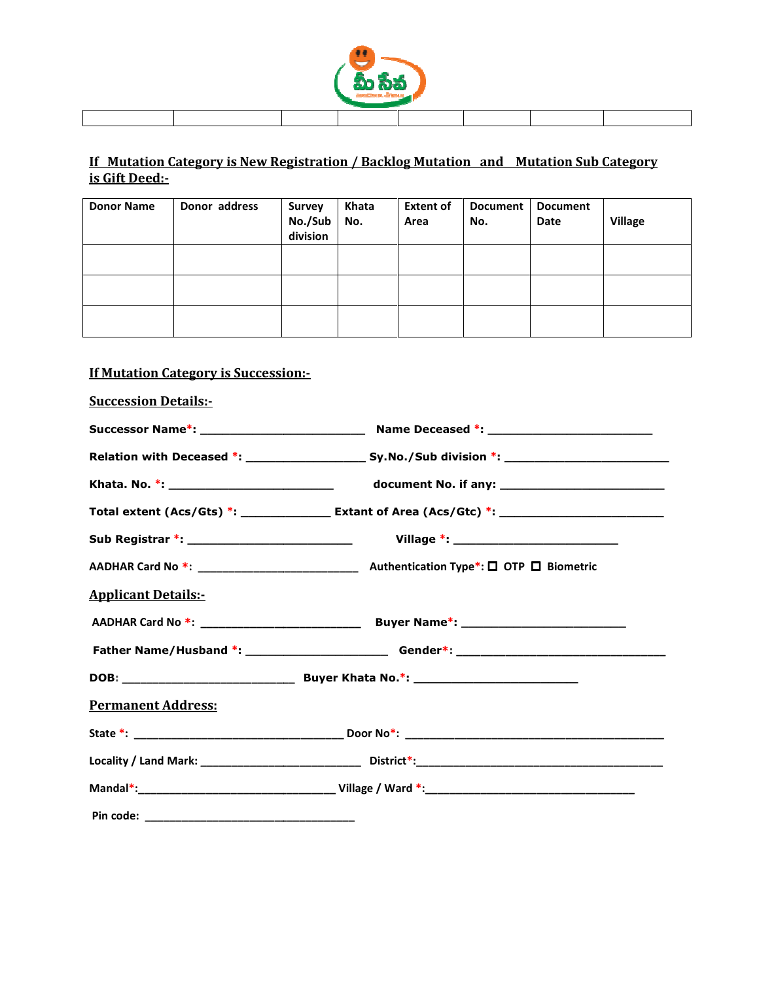

## If Mutation Category is New Registration / Backlog Mutation and Mutation Sub Category Mutation is Gift Deed:-

| <b>Donor Name</b> | Donor address | Survey<br>No./Sub<br>division | Khata<br>No. | <b>Extent of</b><br>Area | <b>Document</b><br>No. | <b>Document</b><br>Date | <b>Village</b> |
|-------------------|---------------|-------------------------------|--------------|--------------------------|------------------------|-------------------------|----------------|
|                   |               |                               |              |                          |                        |                         |                |
|                   |               |                               |              |                          |                        |                         |                |
|                   |               |                               |              |                          |                        |                         |                |

## If Mutation Category is Succession: Succession:-

| <b>Succession Details:-</b> |                                                                                             |  |
|-----------------------------|---------------------------------------------------------------------------------------------|--|
|                             |                                                                                             |  |
|                             |                                                                                             |  |
|                             |                                                                                             |  |
|                             |                                                                                             |  |
|                             | Sub Registrar *: ________________________________   Village *: __________________           |  |
|                             | AADHAR Card No *: _________________________________ Authentication Type*: □ OTP □ Biometric |  |
| <b>Applicant Details:-</b>  |                                                                                             |  |
|                             |                                                                                             |  |
|                             |                                                                                             |  |
|                             |                                                                                             |  |
| <b>Permanent Address:</b>   |                                                                                             |  |
|                             |                                                                                             |  |
|                             |                                                                                             |  |
|                             |                                                                                             |  |
|                             |                                                                                             |  |